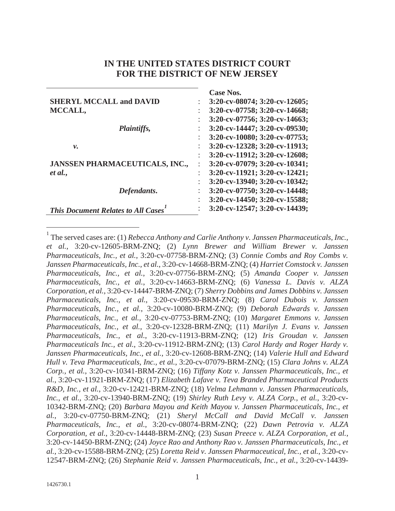# **IN THE UNITED STATES DISTRICT COURT FOR THE DISTRICT OF NEW JERSEY**

|                                           | <b>Case Nos.</b>                    |
|-------------------------------------------|-------------------------------------|
| <b>SHERYL MCCALL and DAVID</b>            | $3:20$ -cv-08074; $3:20$ -cv-12605; |
| MCCALL,                                   | 3:20-cv-07758; 3:20-cv-14668;       |
|                                           | 3:20-cv-07756; 3:20-cv-14663;       |
| <i>Plaintiffs,</i>                        | 3:20-cv-14447; 3:20-cv-09530;       |
|                                           | 3:20-cv-10080; 3:20-cv-07753;       |
| ν.                                        | 3:20-cv-12328; 3:20-cv-11913;       |
|                                           | 3:20-cv-11912; 3:20-cv-12608;       |
| <b>JANSSEN PHARMACEUTICALS, INC.,</b>     | 3:20-cv-07079; 3:20-cv-10341;       |
| et al.,                                   | 3:20-cv-11921; 3:20-cv-12421;       |
|                                           | 3:20-cv-13940; 3:20-cv-10342;       |
| Defendants.                               | 3:20-cv-07750; 3:20-cv-14448;       |
|                                           | 3:20-cv-14450; 3:20-cv-15588;       |
| <b>This Document Relates to All Cases</b> | 3:20-cv-12547; 3:20-cv-14439;       |

<sup>1</sup> The served cases are: (1) *Rebecca Anthony and Carlie Anthony v. Janssen Pharmaceuticals, Inc., et al.*, 3:20-cv-12605-BRM-ZNQ; (2) *Lynn Brewer and William Brewer v. Janssen Pharmaceuticals, Inc., et al.*, 3:20-cv-07758-BRM-ZNQ; (3) *Connie Combs and Roy Combs v. Janssen Pharmaceuticals, Inc., et al.*, 3:20-cv-14668-BRM-ZNQ; (4) *Harriet Comstock v. Janssen Pharmaceuticals, Inc., et al.*, 3:20-cv-07756-BRM-ZNQ; (5) *Amanda Cooper v. Janssen Pharmaceuticals, Inc., et al.*, 3:20-cv-14663-BRM-ZNQ; (6) *Vanessa L. Davis v. ALZA Corporation, et al.*, 3:20-cv-14447-BRM-ZNQ; (7) *Sherry Dobbins and James Dobbins v. Janssen Pharmaceuticals, Inc., et al.*, 3:20-cv-09530-BRM-ZNQ; (8) *Carol Dubois v. Janssen Pharmaceuticals, Inc., et al.*, 3:20-cv-10080-BRM-ZNQ; (9) *Deborah Edwards v. Janssen Pharmaceuticals, Inc., et al.*, 3:20-cv-07753-BRM-ZNQ; (10) *Margaret Emmons v. Janssen Pharmaceuticals, Inc., et al.*, 3:20-cv-12328-BRM-ZNQ; (11) *Marilyn J. Evans v. Janssen Pharmaceuticals, Inc., et al.*, 3:20-cv-11913-BRM-ZNQ; (12) *Iris Groudan v. Janssen Pharmaceuticals Inc., et al.*, 3:20-cv-11912-BRM-ZNQ; (13) *Carol Hardy and Roger Hardy v. Janssen Pharmaceuticals, Inc., et al.*, 3:20-cv-12608-BRM-ZNQ; (14) *Valerie Hull and Edward Hull v. Teva Pharmaceuticals, Inc., et al.*, 3:20-cv-07079-BRM-ZNQ; (15) *Clara Johns v. ALZA Corp., et al.*, 3:20-cv-10341-BRM-ZNQ; (16) *Tiffany Kotz v. Janssen Pharmaceuticals, Inc., et al.*, 3:20-cv-11921-BRM-ZNQ; (17) *Elizabeth Lafave v. Teva Branded Pharmaceutical Products R&D, Inc., et al.*, 3:20-cv-12421-BRM-ZNQ; (18) *Velma Lehmann v. Janssen Pharmaceuticals, Inc., et al.*, 3:20-cv-13940-BRM-ZNQ; (19) *Shirley Ruth Levy v. ALZA Corp., et al.*, 3:20-cv-10342-BRM-ZNQ; (20) *Barbara Mayou and Keith Mayou v. Janssen Pharmaceuticals, Inc., et al.*, 3:20-cv-07750-BRM-ZNQ; (21) *Sheryl McCall and David McCall v. Janssen Pharmaceuticals, Inc., et al.*, 3:20-cv-08074-BRM-ZNQ; (22) *Dawn Petrovia v. ALZA Corporation, et al.*, 3:20-cv-14448-BRM-ZNQ; (23) *Susan Preece v. ALZA Corporation, et al.*, 3:20-cv-14450-BRM-ZNQ; (24) *Joyce Rao and Anthony Rao v. Janssen Pharmaceuticals, Inc., et al.*, 3:20-cv-15588-BRM-ZNQ; (25) *Loretta Reid v. Janssen Pharmaceutical, Inc., et al.*, 3:20-cv-12547-BRM-ZNQ; (26) *Stephanie Reid v. Janssen Pharmaceuticals, Inc., et al.*, 3:20-cv-14439-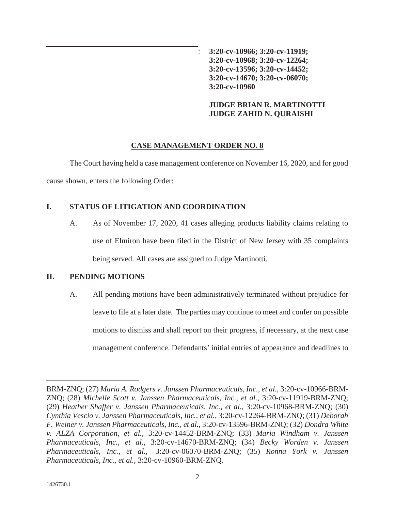: **3:20-cv-10966; 3:20-cv-11919; 3:20-cv-10968; 3:20-cv-12264; 3:20-cv-13596; 3:20-cv-14452; 3:20-cv-14670; 3:20-cv-06070; 3:20-cv-10960**

**JUDGE BRIAN R. MARTINOTTI JUDGE ZAHID N. QURAISHI**

### **CASE MANAGEMENT ORDER NO. 8**

The Court having held a case management conference on November 16, 2020, and for good cause shown, enters the following Order:

# **I. STATUS OF LITIGATION AND COORDINATION**

A. As of November 17, 2020, 41 cases alleging products liability claims relating to use of Elmiron have been filed in the District of New Jersey with 35 complaints being served. All cases are assigned to Judge Martinotti.

# **II. PENDING MOTIONS**

A. All pending motions have been administratively terminated without prejudice for leave to file at a later date. The parties may continue to meet and confer on possible motions to dismiss and shall report on their progress, if necessary, at the next case management conference. Defendants' initial entries of appearance and deadlines to

BRM-ZNQ; (27) *Maria A. Rodgers v. Janssen Pharmaceuticals, Inc., et al.*, 3:20-cv-10966-BRM-ZNQ; (28) *Michelle Scott v. Janssen Pharmaceuticals, Inc., et al.*, 3:20-cv-11919-BRM-ZNQ; (29) *Heather Shaffer v. Janssen Pharmaceuticals, Inc., et al.*, 3:20-cv-10968-BRM-ZNQ; (30) *Cynthia Vescio v. Janssen Pharmaceuticals, Inc., et al.*, 3:20-cv-12264-BRM-ZNQ; (31) *Deborah F. Weiner v. Janssen Pharmaceuticals, Inc., et al.*, 3:20-cv-13596-BRM-ZNQ; (32) *Dondra White v. ALZA Corporation, et al.*, 3:20-cv-14452-BRM-ZNQ; (33) *Maria Windham v. Janssen Pharmaceuticals, Inc., et al.*, 3:20-cv-14670-BRM-ZNQ; (34) *Becky Worden v. Janssen Pharmaceuticals, Inc., et al.*, 3:20-cv-06070-BRM-ZNQ; (35) *Ronna York v. Janssen Pharmaceuticals, Inc., et al.*, 3:20-cv-10960-BRM-ZNQ.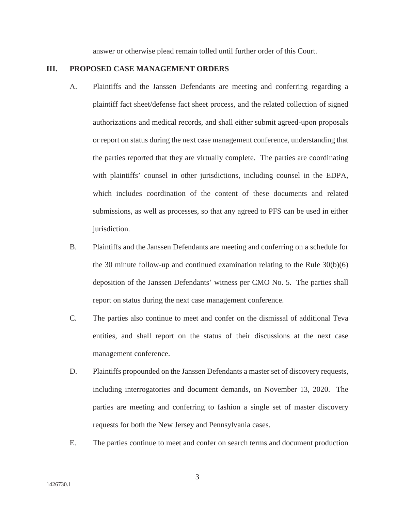answer or otherwise plead remain tolled until further order of this Court.

#### **III. PROPOSED CASE MANAGEMENT ORDERS**

- A. Plaintiffs and the Janssen Defendants are meeting and conferring regarding a plaintiff fact sheet/defense fact sheet process, and the related collection of signed authorizations and medical records, and shall either submit agreed-upon proposals or report on status during the next case management conference, understanding that the parties reported that they are virtually complete. The parties are coordinating with plaintiffs' counsel in other jurisdictions, including counsel in the EDPA, which includes coordination of the content of these documents and related submissions, as well as processes, so that any agreed to PFS can be used in either jurisdiction.
- B. Plaintiffs and the Janssen Defendants are meeting and conferring on a schedule for the 30 minute follow-up and continued examination relating to the Rule 30(b)(6) deposition of the Janssen Defendants' witness per CMO No. 5. The parties shall report on status during the next case management conference.
- C. The parties also continue to meet and confer on the dismissal of additional Teva entities, and shall report on the status of their discussions at the next case management conference.
- D. Plaintiffs propounded on the Janssen Defendants a master set of discovery requests, including interrogatories and document demands, on November 13, 2020. The parties are meeting and conferring to fashion a single set of master discovery requests for both the New Jersey and Pennsylvania cases.
- E. The parties continue to meet and confer on search terms and document production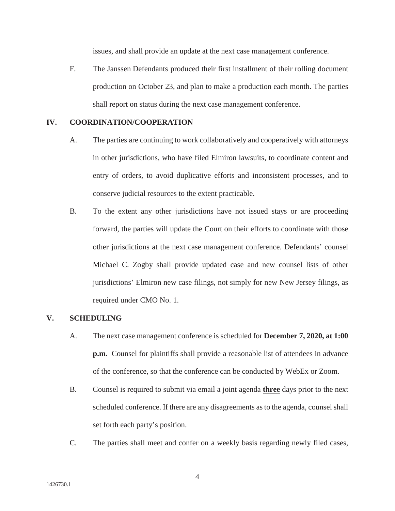issues, and shall provide an update at the next case management conference.

F. The Janssen Defendants produced their first installment of their rolling document production on October 23, and plan to make a production each month. The parties shall report on status during the next case management conference.

### **IV. COORDINATION/COOPERATION**

- A. The parties are continuing to work collaboratively and cooperatively with attorneys in other jurisdictions, who have filed Elmiron lawsuits, to coordinate content and entry of orders, to avoid duplicative efforts and inconsistent processes, and to conserve judicial resources to the extent practicable.
- B. To the extent any other jurisdictions have not issued stays or are proceeding forward, the parties will update the Court on their efforts to coordinate with those other jurisdictions at the next case management conference. Defendants' counsel Michael C. Zogby shall provide updated case and new counsel lists of other jurisdictions' Elmiron new case filings, not simply for new New Jersey filings, as required under CMO No. 1.

#### **V. SCHEDULING**

- A. The next case management conference is scheduled for **December 7, 2020, at 1:00 p.m.** Counsel for plaintiffs shall provide a reasonable list of attendees in advance of the conference, so that the conference can be conducted by WebEx or Zoom.
- B. Counsel is required to submit via email a joint agenda **three** days prior to the next scheduled conference. If there are any disagreements as to the agenda, counsel shall set forth each party's position.
- C. The parties shall meet and confer on a weekly basis regarding newly filed cases,